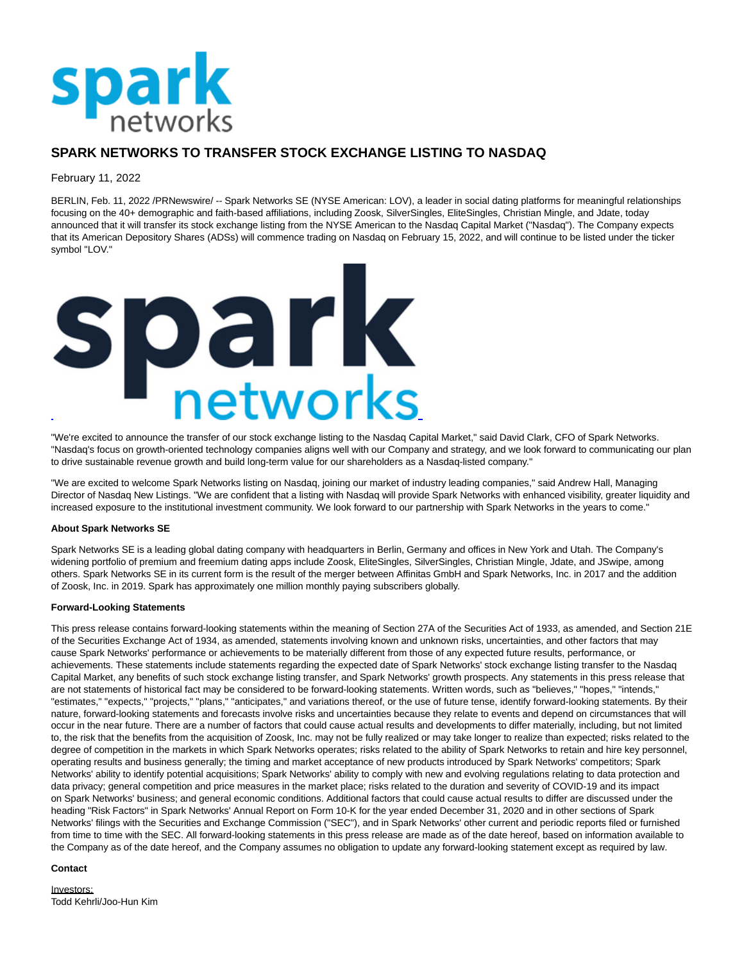

# **SPARK NETWORKS TO TRANSFER STOCK EXCHANGE LISTING TO NASDAQ**

## February 11, 2022

BERLIN, Feb. 11, 2022 /PRNewswire/ -- Spark Networks SE (NYSE American: LOV), a leader in social dating platforms for meaningful relationships focusing on the 40+ demographic and faith-based affiliations, including Zoosk, SilverSingles, EliteSingles, Christian Mingle, and Jdate, today announced that it will transfer its stock exchange listing from the NYSE American to the Nasdaq Capital Market ("Nasdaq"). The Company expects that its American Depository Shares (ADSs) will commence trading on Nasdaq on February 15, 2022, and will continue to be listed under the ticker symbol "LOV."



"We're excited to announce the transfer of our stock exchange listing to the Nasdaq Capital Market," said David Clark, CFO of Spark Networks. "Nasdaq's focus on growth-oriented technology companies aligns well with our Company and strategy, and we look forward to communicating our plan to drive sustainable revenue growth and build long-term value for our shareholders as a Nasdaq-listed company."

"We are excited to welcome Spark Networks listing on Nasdaq, joining our market of industry leading companies," said Andrew Hall, Managing Director of Nasdaq New Listings. "We are confident that a listing with Nasdaq will provide Spark Networks with enhanced visibility, greater liquidity and increased exposure to the institutional investment community. We look forward to our partnership with Spark Networks in the years to come."

### **About Spark Networks SE**

Spark Networks SE is a leading global dating company with headquarters in Berlin, Germany and offices in New York and Utah. The Company's widening portfolio of premium and freemium dating apps include Zoosk, EliteSingles, SilverSingles, Christian Mingle, Jdate, and JSwipe, among others. Spark Networks SE in its current form is the result of the merger between Affinitas GmbH and Spark Networks, Inc. in 2017 and the addition of Zoosk, Inc. in 2019. Spark has approximately one million monthly paying subscribers globally.

### **Forward-Looking Statements**

This press release contains forward-looking statements within the meaning of Section 27A of the Securities Act of 1933, as amended, and Section 21E of the Securities Exchange Act of 1934, as amended, statements involving known and unknown risks, uncertainties, and other factors that may cause Spark Networks' performance or achievements to be materially different from those of any expected future results, performance, or achievements. These statements include statements regarding the expected date of Spark Networks' stock exchange listing transfer to the Nasdaq Capital Market, any benefits of such stock exchange listing transfer, and Spark Networks' growth prospects. Any statements in this press release that are not statements of historical fact may be considered to be forward-looking statements. Written words, such as "believes," "hopes," "intends," "estimates," "expects," "projects," "plans," "anticipates," and variations thereof, or the use of future tense, identify forward-looking statements. By their nature, forward-looking statements and forecasts involve risks and uncertainties because they relate to events and depend on circumstances that will occur in the near future. There are a number of factors that could cause actual results and developments to differ materially, including, but not limited to, the risk that the benefits from the acquisition of Zoosk, Inc. may not be fully realized or may take longer to realize than expected; risks related to the degree of competition in the markets in which Spark Networks operates; risks related to the ability of Spark Networks to retain and hire key personnel, operating results and business generally; the timing and market acceptance of new products introduced by Spark Networks' competitors; Spark Networks' ability to identify potential acquisitions; Spark Networks' ability to comply with new and evolving regulations relating to data protection and data privacy; general competition and price measures in the market place; risks related to the duration and severity of COVID-19 and its impact on Spark Networks' business; and general economic conditions. Additional factors that could cause actual results to differ are discussed under the heading "Risk Factors" in Spark Networks' Annual Report on Form 10-K for the year ended December 31, 2020 and in other sections of Spark Networks' filings with the Securities and Exchange Commission ("SEC"), and in Spark Networks' other current and periodic reports filed or furnished from time to time with the SEC. All forward-looking statements in this press release are made as of the date hereof, based on information available to the Company as of the date hereof, and the Company assumes no obligation to update any forward-looking statement except as required by law.

### **Contact**

Investors: Todd Kehrli/Joo-Hun Kim